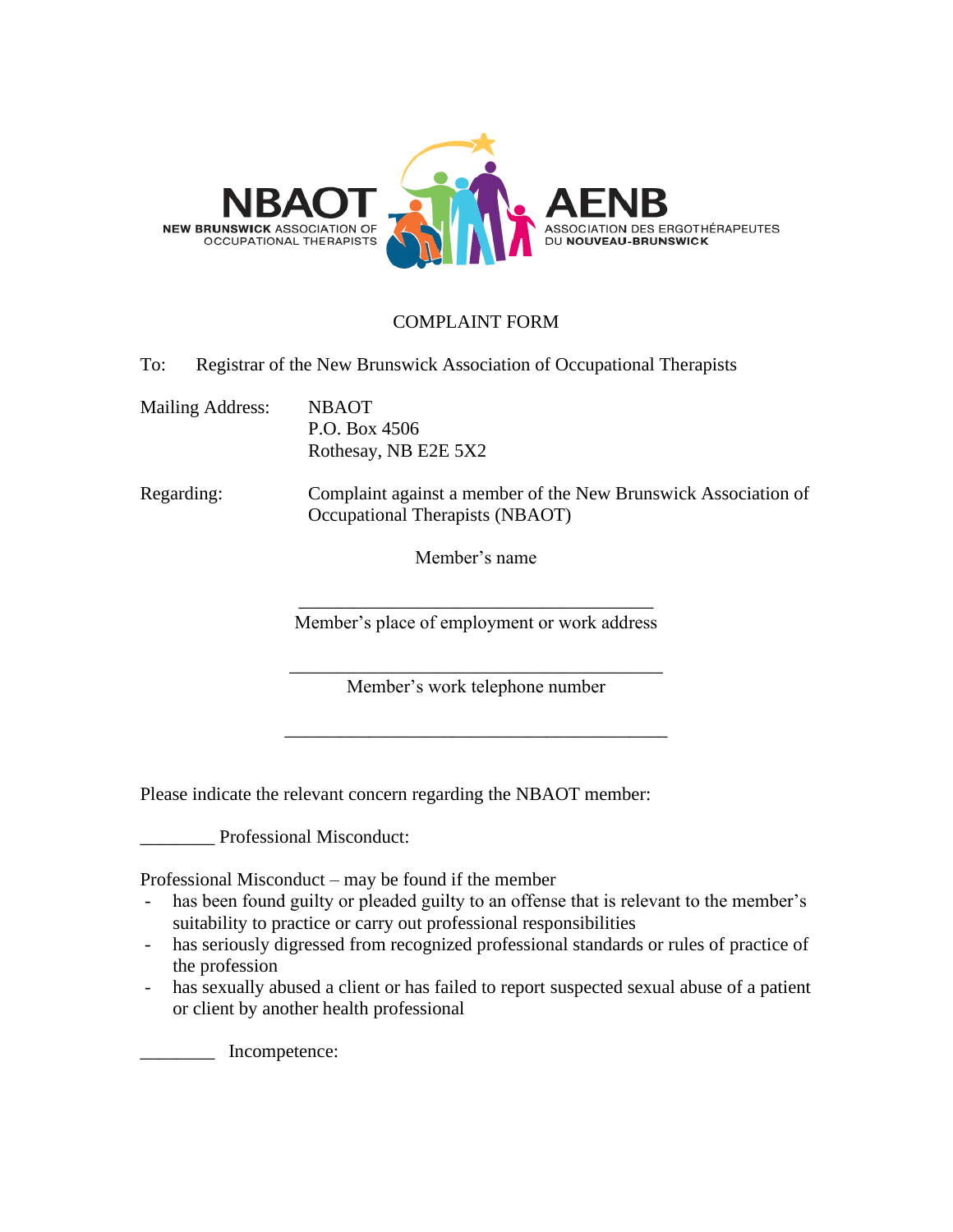

## COMPLAINT FORM

To: Registrar of the New Brunswick Association of Occupational Therapists

Mailing Address: NBAOT P.O. Box 4506 Rothesay, NB E2E 5X2

Regarding: Complaint against a member of the New Brunswick Association of Occupational Therapists (NBAOT)

Member's name

\_\_\_\_\_\_\_\_\_\_\_\_\_\_\_\_\_\_\_\_\_\_\_\_\_\_\_\_\_\_\_\_\_\_\_\_\_\_ Member's place of employment or work address

\_\_\_\_\_\_\_\_\_\_\_\_\_\_\_\_\_\_\_\_\_\_\_\_\_\_\_\_\_\_\_\_\_\_\_\_\_\_\_\_ Member's work telephone number

\_\_\_\_\_\_\_\_\_\_\_\_\_\_\_\_\_\_\_\_\_\_\_\_\_\_\_\_\_\_\_\_\_\_\_\_\_\_\_\_\_

Please indicate the relevant concern regarding the NBAOT member:

\_\_\_\_\_\_\_\_ Professional Misconduct:

Professional Misconduct – may be found if the member

- has been found guilty or pleaded guilty to an offense that is relevant to the member's suitability to practice or carry out professional responsibilities
- has seriously digressed from recognized professional standards or rules of practice of the profession
- has sexually abused a client or has failed to report suspected sexual abuse of a patient or client by another health professional

\_\_\_\_\_\_\_\_ Incompetence: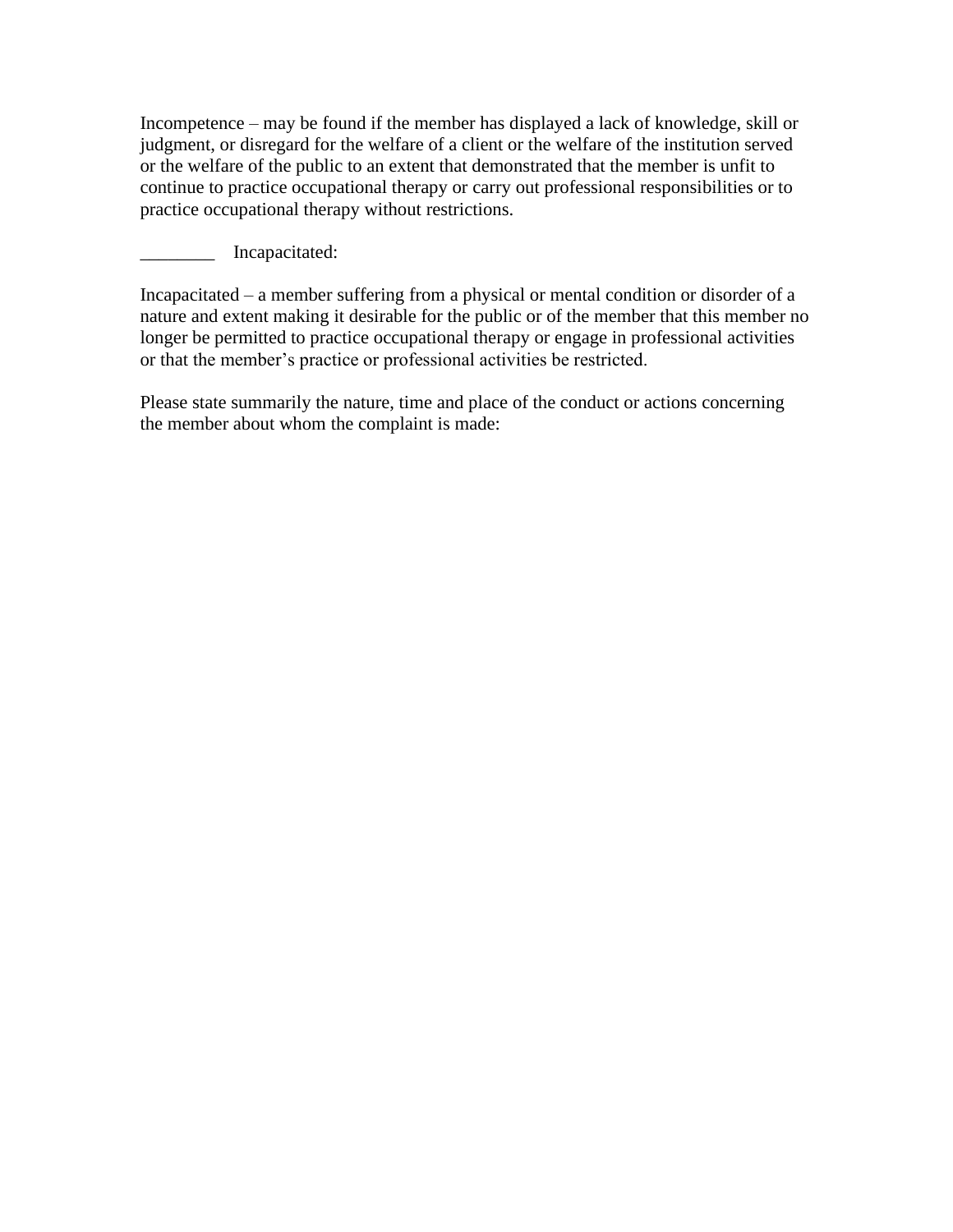Incompetence – may be found if the member has displayed a lack of knowledge, skill or judgment, or disregard for the welfare of a client or the welfare of the institution served or the welfare of the public to an extent that demonstrated that the member is unfit to continue to practice occupational therapy or carry out professional responsibilities or to practice occupational therapy without restrictions.

\_\_\_\_\_\_\_\_ Incapacitated:

Incapacitated – a member suffering from a physical or mental condition or disorder of a nature and extent making it desirable for the public or of the member that this member no longer be permitted to practice occupational therapy or engage in professional activities or that the member's practice or professional activities be restricted.

Please state summarily the nature, time and place of the conduct or actions concerning the member about whom the complaint is made: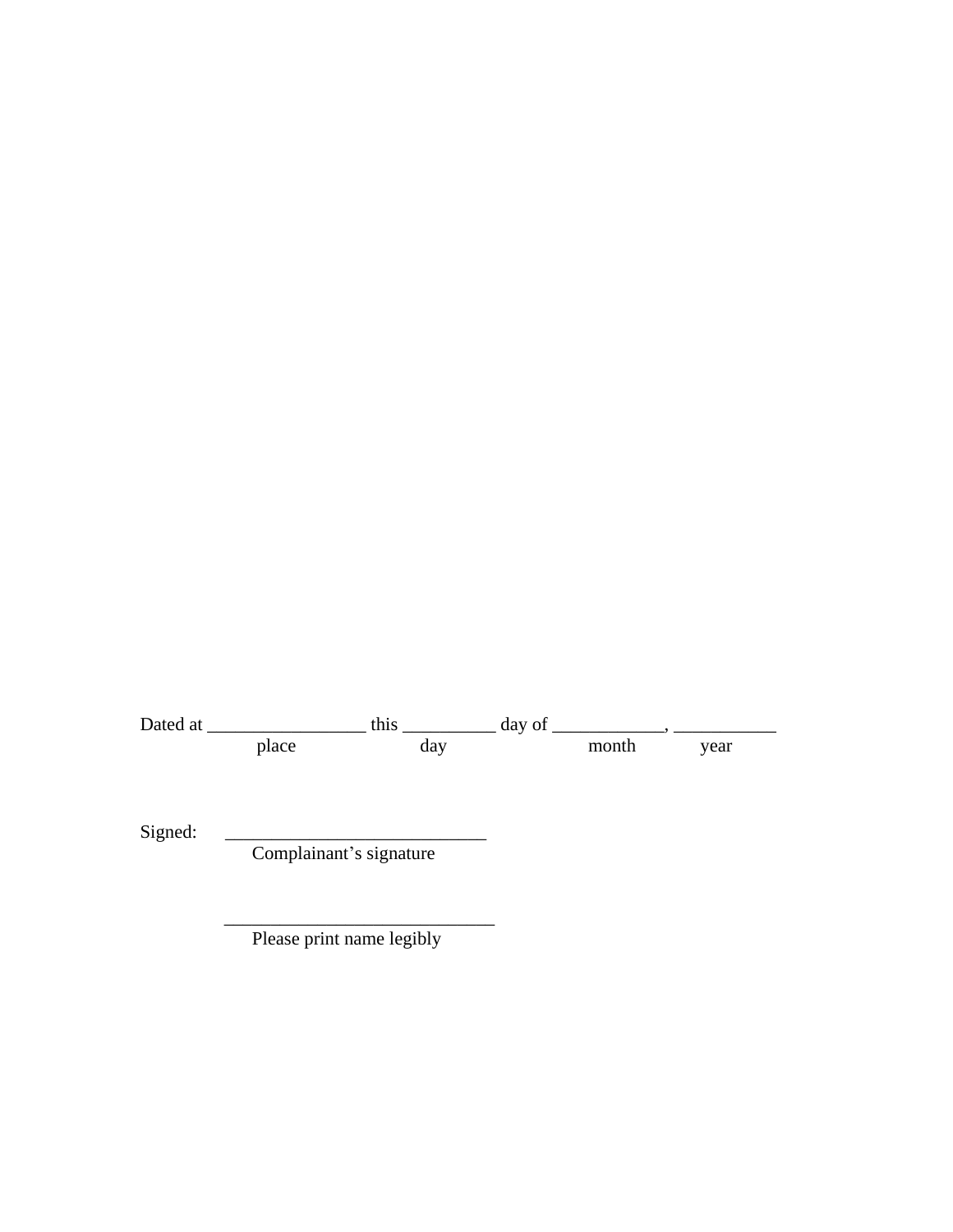Dated at \_\_\_\_\_\_\_\_\_\_\_\_\_\_\_\_\_ this \_\_\_\_\_\_\_\_\_\_ day of \_\_\_\_\_\_\_\_\_\_\_\_, \_\_\_\_\_\_\_\_\_\_\_ place day have month year

Signed:  $\qquad \qquad$ 

Complainant's signature

 $\overline{\phantom{a}}$  ,  $\overline{\phantom{a}}$  ,  $\overline{\phantom{a}}$  ,  $\overline{\phantom{a}}$  ,  $\overline{\phantom{a}}$  ,  $\overline{\phantom{a}}$  ,  $\overline{\phantom{a}}$  ,  $\overline{\phantom{a}}$  ,  $\overline{\phantom{a}}$  ,  $\overline{\phantom{a}}$  ,  $\overline{\phantom{a}}$  ,  $\overline{\phantom{a}}$  ,  $\overline{\phantom{a}}$  ,  $\overline{\phantom{a}}$  ,  $\overline{\phantom{a}}$  ,  $\overline{\phantom{a}}$ Please print name legibly